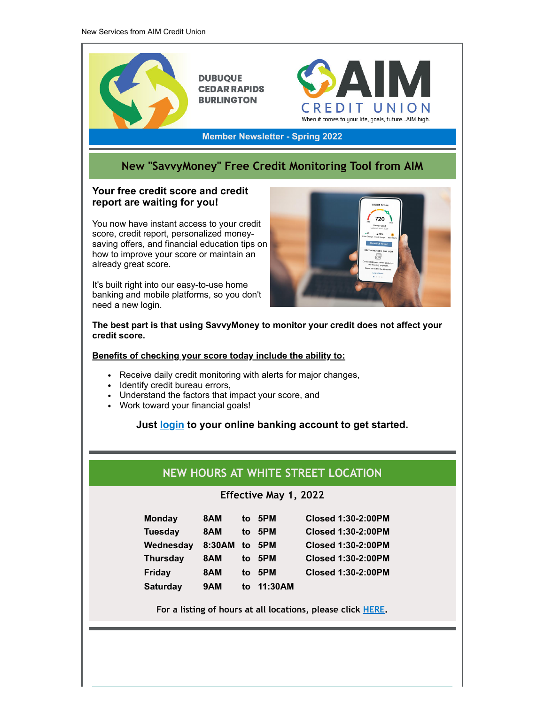

**For a listing of hours at all locations, please click [HERE.](http://www.aimcreditunion.com/bank/locations/)**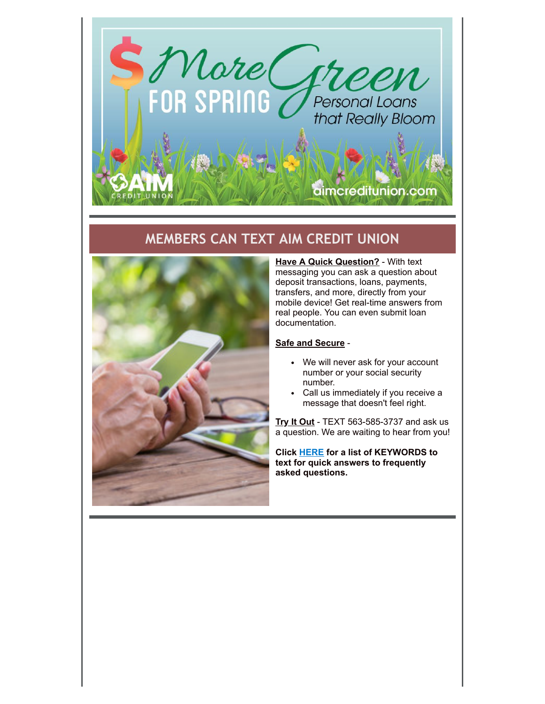

## **MEMBERS CAN TEXT AIM CREDIT UNION**



**Have A Quick Question?** - With text messaging you can ask a question about deposit transactions, loans, payments, transfers, and more, directly from your mobile device! Get real-time answers from real people. You can even submit loan documentation.

#### **Safe and Secure** -

- We will never ask for your account number or your social security number.
- Call us immediately if you receive a message that doesn't feel right.

**Try It Out** - TEXT 563-585-3737 and ask us a question. We are waiting to hear from you!

**Click [HERE](http://www.aimcreditunion.com/slide/texting?tc=texting) for a list of KEYWORDS to text for quick answers to frequently asked questions.**